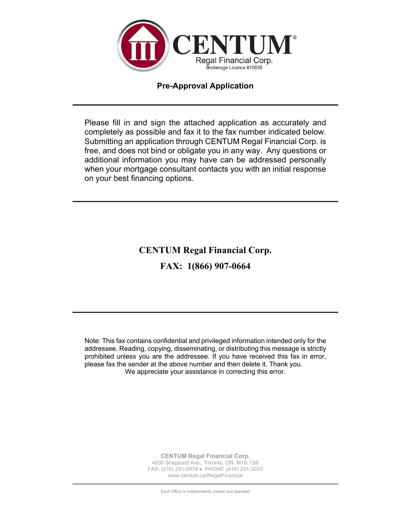

## **Pre-Approval Application**

Please fill in and sign the attached application as accurately and completely as possible and fax it to the fax number indicated below. Submitting an application through CENTUM Regal Financial Corp. is free, and does not bind or obligate you in any way. Any questions or additional information you may have can be addressed personally when your mortgage consultant contacts you with an initial response on your best financing options.

**CENTUM Regal Financial Corp.**

**FAX: 1(866) 907-0664**

Note: This fax contains confidential and privileged information intended only for the addressee. Reading, copying, disseminating, or distributing this message is strictly prohibited unless you are the addressee. If you have received this fax in error, please fax the sender at the above number and then delete it. Thank you. We appreciate your assistance in correcting this error.

> **CENTUM Regal Financial Corp.** 4030 Sheppard Ave., Toronto, ON M1S 1S6 FAX: (416) 291-0874 • PHONE (416) 291-3033 www.centum.ca/RegalFinancial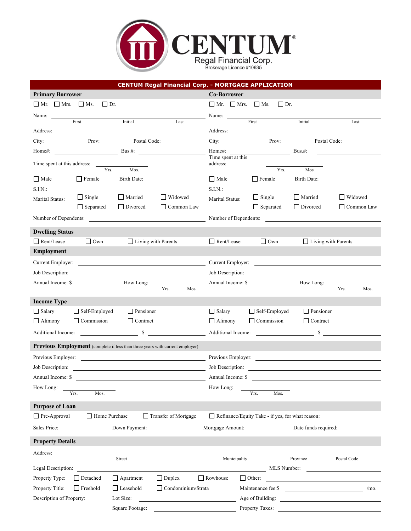

|                                       | <b>CENTUM Regal Financial Corp. - MORTGAGE APPLICATION</b>                                                            |                                                                                                                                                                                                                                                                          |
|---------------------------------------|-----------------------------------------------------------------------------------------------------------------------|--------------------------------------------------------------------------------------------------------------------------------------------------------------------------------------------------------------------------------------------------------------------------|
| <b>Primary Borrower</b>               |                                                                                                                       | <b>Co-Borrower</b>                                                                                                                                                                                                                                                       |
| $\Box$ Mr. $\Box$ Mrs. $\Box$ Ms.     | $\Box$ Dr.                                                                                                            | $\Box$ Mr. $\Box$ Mrs. $\Box$ Ms.<br>$\Box$ Dr.                                                                                                                                                                                                                          |
|                                       | Name: First Initial Last Name: First First                                                                            | Initial                                                                                                                                                                                                                                                                  |
|                                       |                                                                                                                       | Last                                                                                                                                                                                                                                                                     |
| City: Prov:                           | Postal Code:                                                                                                          | City: Prov: Postal Code:                                                                                                                                                                                                                                                 |
| Home#:                                | $Bus.$ #:                                                                                                             | Home#:<br>$Bus.#$ :                                                                                                                                                                                                                                                      |
| Time spent at this address:           | Yrs.<br>Mos.                                                                                                          | Time spent at this<br>address:<br>Yrs.<br>Mos.                                                                                                                                                                                                                           |
| $\Box$ Male<br>$\Box$ Female          | Birth Date:                                                                                                           | $\Box$ Male<br>$\Box$ Female<br>Birth Date:                                                                                                                                                                                                                              |
| S.I.N.:                               |                                                                                                                       | S.I.N.:                                                                                                                                                                                                                                                                  |
| $\Box$ Single<br>Marital Status:      | Married<br>$\Box$ Widowed                                                                                             | $\Box$ Single<br>$\Box$ Married<br>$\Box$ Widowed<br>Marital Status:                                                                                                                                                                                                     |
| $\Box$ Separated                      | Divorced<br>$\Box$ Common Law                                                                                         | Separated<br>$\Box$ Divorced<br>$\Box$ Common Law                                                                                                                                                                                                                        |
|                                       | Number of Dependents:                                                                                                 | Number of Dependents:                                                                                                                                                                                                                                                    |
| <b>Dwelling Status</b>                |                                                                                                                       |                                                                                                                                                                                                                                                                          |
| Rent/Lease<br>$\Box$ Own              | $\Box$ Living with Parents                                                                                            | Rent/Lease<br>$\Box$ Own<br>$\Box$ Living with Parents                                                                                                                                                                                                                   |
| Employment                            |                                                                                                                       |                                                                                                                                                                                                                                                                          |
|                                       |                                                                                                                       | Current Employer:                                                                                                                                                                                                                                                        |
| Job Description:                      | <u> 1980 - Johann Barn, mars ann an t-Amhain Aonaich an t-Aonaich an t-Aonaich ann an t-Aonaich ann an t-Aonaich</u>  | Job Description:                                                                                                                                                                                                                                                         |
| Annual Income: \$                     | How Long:                                                                                                             | Annual Income: \$<br>How Long:                                                                                                                                                                                                                                           |
|                                       | Mos.<br>Yrs.                                                                                                          | Yrs.<br>Mos.                                                                                                                                                                                                                                                             |
| <b>Income Type</b>                    |                                                                                                                       |                                                                                                                                                                                                                                                                          |
| $\Box$ Salary<br>$\Box$ Self-Employed | Pensioner                                                                                                             | Pensioner<br>$\Box$ Salary<br>Self-Employed                                                                                                                                                                                                                              |
| $\Box$ Commission<br>$\Box$ Alimony   | $\Box$ Contract                                                                                                       | $\Box$ Commission<br>$\Box$ Alimony<br>$\Box$ Contract                                                                                                                                                                                                                   |
| Additional Income:                    | $\mathbb{S}$                                                                                                          | Additional Income:                                                                                                                                                                                                                                                       |
|                                       | Previous Employment (complete if less than three years with current employer)                                         |                                                                                                                                                                                                                                                                          |
| Previous Employer:                    |                                                                                                                       | Previous Employer:                                                                                                                                                                                                                                                       |
| Job Description:                      |                                                                                                                       | Job Description:                                                                                                                                                                                                                                                         |
| Annual Income: \$                     | <u> 1980 - Johann Barbara, martin amerikan basal dan berasal dalam basal dalam basal dalam basal dalam basal dala</u> | Annual Income: \$                                                                                                                                                                                                                                                        |
| How Long:                             |                                                                                                                       | How Long:                                                                                                                                                                                                                                                                |
| Mos.<br>Yrs.                          |                                                                                                                       | $\overline{Y}$ rs.<br>Mos.                                                                                                                                                                                                                                               |
| <b>Purpose of Loan</b>                |                                                                                                                       |                                                                                                                                                                                                                                                                          |
| Home Purchase<br>$\Box$ Pre-Approval  | Transfer of Mortgage                                                                                                  | Refinance/Equity Take - if yes, for what reason:                                                                                                                                                                                                                         |
| Sales Price:                          | Down Payment:                                                                                                         | Mortgage Amount:<br>Date funds required:                                                                                                                                                                                                                                 |
| <b>Property Details</b>               |                                                                                                                       |                                                                                                                                                                                                                                                                          |
| Address:                              |                                                                                                                       |                                                                                                                                                                                                                                                                          |
|                                       | Street                                                                                                                | Municipality<br>Province<br>Postal Code                                                                                                                                                                                                                                  |
| Legal Description:                    |                                                                                                                       | MLS Number:                                                                                                                                                                                                                                                              |
| Property Type:<br>$\Box$ Detached     | $\Box$ Duplex<br>$\Box$ Apartment                                                                                     | $\Box$ Rowhouse<br>$\Box$ Other:<br><u>and the state of the state of the state of the state of the state of the state of the state of the state of the state of the state of the state of the state of the state of the state of the state of the state of the state</u> |
| Property Title:<br>$\Box$ Freehold    | $\Box$ Leasehold<br>$\Box$ Condominium/Strata                                                                         | Maintenance fee:\$<br>/mo.<br><u> The Communication of the Communication</u>                                                                                                                                                                                             |
| Description of Property:              | Lot Size:                                                                                                             | Age of Building:                                                                                                                                                                                                                                                         |
|                                       | Square Footage:                                                                                                       | Property Taxes:                                                                                                                                                                                                                                                          |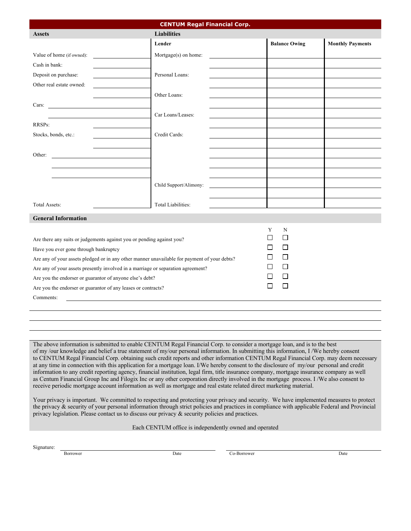| <b>CENTUM Regal Financial Corp.</b>                                                                                          |                           |  |                              |                         |
|------------------------------------------------------------------------------------------------------------------------------|---------------------------|--|------------------------------|-------------------------|
| <b>Assets</b>                                                                                                                | <b>Liabilities</b>        |  |                              |                         |
|                                                                                                                              | Lender                    |  | <b>Balance Owing</b>         | <b>Monthly Payments</b> |
| Value of home (if owned):                                                                                                    | Mortgage(s) on home:      |  |                              |                         |
| Cash in bank:                                                                                                                |                           |  |                              |                         |
| Deposit on purchase:                                                                                                         | Personal Loans:           |  |                              |                         |
| Other real estate owned:                                                                                                     |                           |  |                              |                         |
|                                                                                                                              | Other Loans:              |  |                              |                         |
| Cars:                                                                                                                        |                           |  |                              |                         |
|                                                                                                                              | Car Loans/Leases:         |  |                              |                         |
| RRSPs:                                                                                                                       |                           |  |                              |                         |
| Stocks, bonds, etc.:                                                                                                         | Credit Cards:             |  |                              |                         |
|                                                                                                                              |                           |  |                              |                         |
| Other:                                                                                                                       |                           |  |                              |                         |
|                                                                                                                              |                           |  |                              |                         |
|                                                                                                                              |                           |  |                              |                         |
|                                                                                                                              | Child Support/Alimony:    |  |                              |                         |
|                                                                                                                              |                           |  |                              |                         |
| <b>Total Assets:</b>                                                                                                         | <b>Total Liabilities:</b> |  |                              |                         |
| <b>General Information</b>                                                                                                   |                           |  |                              |                         |
|                                                                                                                              |                           |  |                              |                         |
|                                                                                                                              |                           |  | Y<br>N<br>ΙI<br>$\mathsf{L}$ |                         |
| Are there any suits or judgements against you or pending against you?                                                        |                           |  |                              |                         |
| $\Box$<br>$\mathsf{L}$<br>Have you ever gone through bankruptcy                                                              |                           |  |                              |                         |
| $\mathsf{L}$<br>$\mathsf{L}$<br>Are any of your assets pledged or in any other manner unavailable for payment of your debts? |                           |  |                              |                         |
| $\Box$<br>Are any of your assets presently involved in a marriage or separation agreement?                                   |                           |  |                              |                         |
| $\mathsf{L}$<br>Are you the endorser or guarantor of anyone else's debt?                                                     |                           |  |                              |                         |
| $\mathsf{L}$<br>$\mathsf{L}$<br>Are you the endorser or guarantor of any leases or contracts?                                |                           |  |                              |                         |
| Comments:                                                                                                                    |                           |  |                              |                         |
|                                                                                                                              |                           |  |                              |                         |

The above information is submitted to enable CENTUM Regal Financial Corp. to consider a mortgage loan, and is to the best of my /our knowledge and belief a true statement of my/our personal information. In submitting this information, I /We hereby consent to CENTUM Regal Financial Corp. obtaining such credit reports and other information CENTUM Regal Financial Corp. may deem necessary at any time in connection with this application for a mortgage loan. I/We hereby consent to the disclosure of my/our personal and credit information to any credit reporting agency, financial institution, legal firm, title insurance company, mortgage insurance company as well as Centum Financial Group Inc and Filogix Inc or any other corporation directly involved in the mortgage process. I /We also consent to receive periodic mortgage account information as well as mortgage and real estate related direct marketing material.

Your privacy is important. We committed to respecting and protecting your privacy and security. We have implemented measures to protect the privacy & security of your personal information through strict policies and practices in compliance with applicable Federal and Provincial privacy legislation. Please contact us to discuss our privacy & security policies and practices.

Each CENTUM office is independently owned and operated

Signature:

Borrower Date Co-Borrower Date